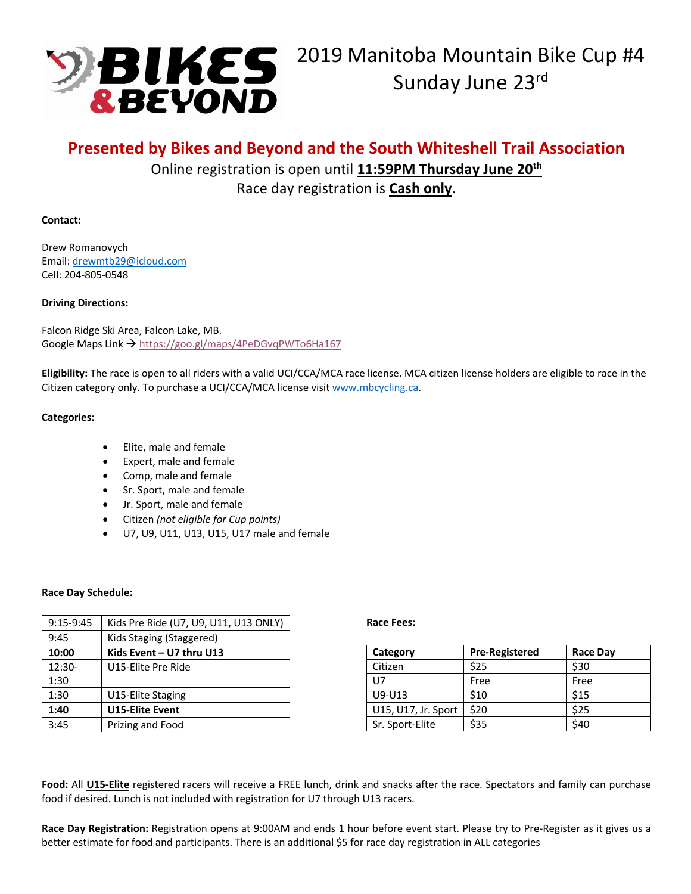

# **Presented by Bikes and Beyond and the South Whiteshell Trail Association**

Online registration is open until **11:59PM Thursday June 20th** Race day registration is **Cash only**.

## **Contact:**

Drew Romanovych Email: drewmtb29@icloud.com Cell: 204-805-0548

## **Driving Directions:**

Falcon Ridge Ski Area, Falcon Lake, MB. Google Maps Link → https://goo.gl/maps/4PeDGvqPWTo6Ha167

**Eligibility:** The race is open to all riders with a valid UCI/CCA/MCA race license. MCA citizen license holders are eligible to race in the Citizen category only. To purchase a UCI/CCA/MCA license visit www.mbcycling.ca.

## **Categories:**

- Elite, male and female
- Expert, male and female
- Comp, male and female
- Sr. Sport, male and female
- Jr. Sport, male and female
- Citizen *(not eligible for Cup points)*
- U7, U9, U11, U13, U15, U17 male and female

#### **Race Day Schedule:**

| $9:15-9:45$ | Kids Pre Ride (U7, U9, U11, U13 ONLY) |  |
|-------------|---------------------------------------|--|
| 9:45        | Kids Staging (Staggered)              |  |
| 10:00       | Kids Event - U7 thru U13              |  |
| $12:30-$    | U15-Elite Pre Ride                    |  |
| 1:30        |                                       |  |
| 1:30        | U15-Elite Staging                     |  |
| 1:40        | <b>U15-Elite Event</b>                |  |
| 3:45        | Prizing and Food                      |  |

#### **Race Fees:**

| Category            | <b>Pre-Registered</b> | <b>Race Day</b> |
|---------------------|-----------------------|-----------------|
| Citizen             | \$25                  | \$30            |
| U7                  | Free                  | Free            |
| $U9-U13$            | \$10                  | \$15            |
| U15, U17, Jr. Sport | \$20                  | \$25            |
| Sr. Sport-Elite     | \$35                  | \$40            |

**Food:** All **U15-Elite** registered racers will receive a FREE lunch, drink and snacks after the race. Spectators and family can purchase food if desired. Lunch is not included with registration for U7 through U13 racers.

**Race Day Registration:** Registration opens at 9:00AM and ends 1 hour before event start. Please try to Pre-Register as it gives us a better estimate for food and participants. There is an additional \$5 for race day registration in ALL categories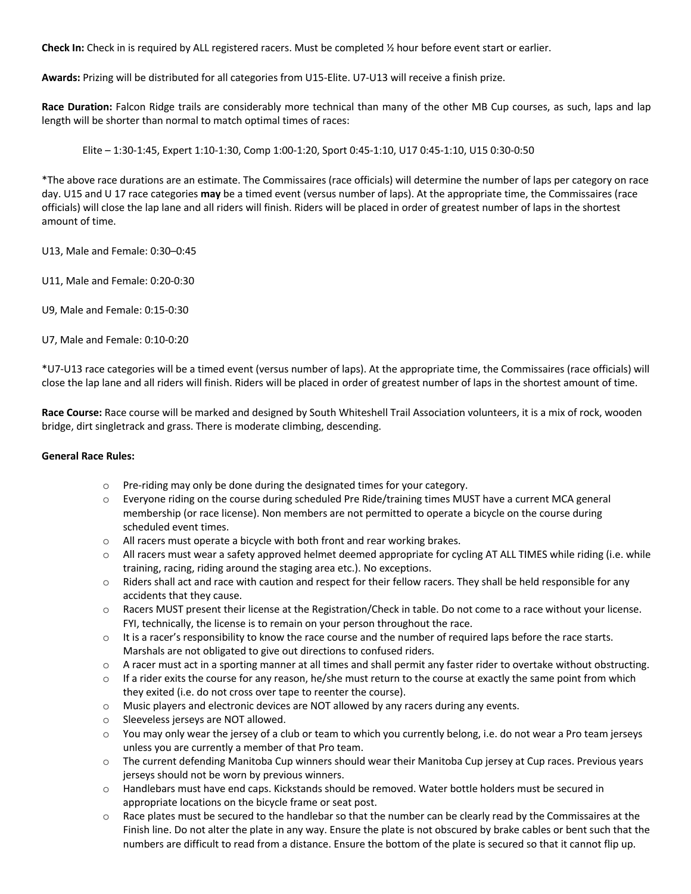**Check In:** Check in is required by ALL registered racers. Must be completed ½ hour before event start or earlier.

**Awards:** Prizing will be distributed for all categories from U15-Elite. U7-U13 will receive a finish prize.

**Race Duration:** Falcon Ridge trails are considerably more technical than many of the other MB Cup courses, as such, laps and lap length will be shorter than normal to match optimal times of races:

Elite – 1:30-1:45, Expert 1:10-1:30, Comp 1:00-1:20, Sport 0:45-1:10, U17 0:45-1:10, U15 0:30-0:50

\*The above race durations are an estimate. The Commissaires (race officials) will determine the number of laps per category on race day. U15 and U 17 race categories **may** be a timed event (versus number of laps). At the appropriate time, the Commissaires (race officials) will close the lap lane and all riders will finish. Riders will be placed in order of greatest number of laps in the shortest amount of time.

U13, Male and Female: 0:30–0:45

U11, Male and Female: 0:20-0:30

U9, Male and Female: 0:15-0:30

U7, Male and Female: 0:10-0:20

\*U7-U13 race categories will be a timed event (versus number of laps). At the appropriate time, the Commissaires (race officials) will close the lap lane and all riders will finish. Riders will be placed in order of greatest number of laps in the shortest amount of time.

**Race Course:** Race course will be marked and designed by South Whiteshell Trail Association volunteers, it is a mix of rock, wooden bridge, dirt singletrack and grass. There is moderate climbing, descending.

#### **General Race Rules:**

- o Pre-riding may only be done during the designated times for your category.
- $\circ$  Everyone riding on the course during scheduled Pre Ride/training times MUST have a current MCA general membership (or race license). Non members are not permitted to operate a bicycle on the course during scheduled event times.
- o All racers must operate a bicycle with both front and rear working brakes.
- $\circ$  All racers must wear a safety approved helmet deemed appropriate for cycling AT ALL TIMES while riding (i.e. while training, racing, riding around the staging area etc.). No exceptions.
- o Riders shall act and race with caution and respect for their fellow racers. They shall be held responsible for any accidents that they cause.
- o Racers MUST present their license at the Registration/Check in table. Do not come to a race without your license. FYI, technically, the license is to remain on your person throughout the race.
- $\circ$  It is a racer's responsibility to know the race course and the number of required laps before the race starts. Marshals are not obligated to give out directions to confused riders.
- o A racer must act in a sporting manner at all times and shall permit any faster rider to overtake without obstructing.
- $\circ$  If a rider exits the course for any reason, he/she must return to the course at exactly the same point from which they exited (i.e. do not cross over tape to reenter the course).
- o Music players and electronic devices are NOT allowed by any racers during any events.
- o Sleeveless jerseys are NOT allowed.
- o You may only wear the jersey of a club or team to which you currently belong, i.e. do not wear a Pro team jerseys unless you are currently a member of that Pro team.
- o The current defending Manitoba Cup winners should wear their Manitoba Cup jersey at Cup races. Previous years jerseys should not be worn by previous winners.
- o Handlebars must have end caps. Kickstands should be removed. Water bottle holders must be secured in appropriate locations on the bicycle frame or seat post.
- $\circ$  Race plates must be secured to the handlebar so that the number can be clearly read by the Commissaires at the Finish line. Do not alter the plate in any way. Ensure the plate is not obscured by brake cables or bent such that the numbers are difficult to read from a distance. Ensure the bottom of the plate is secured so that it cannot flip up.